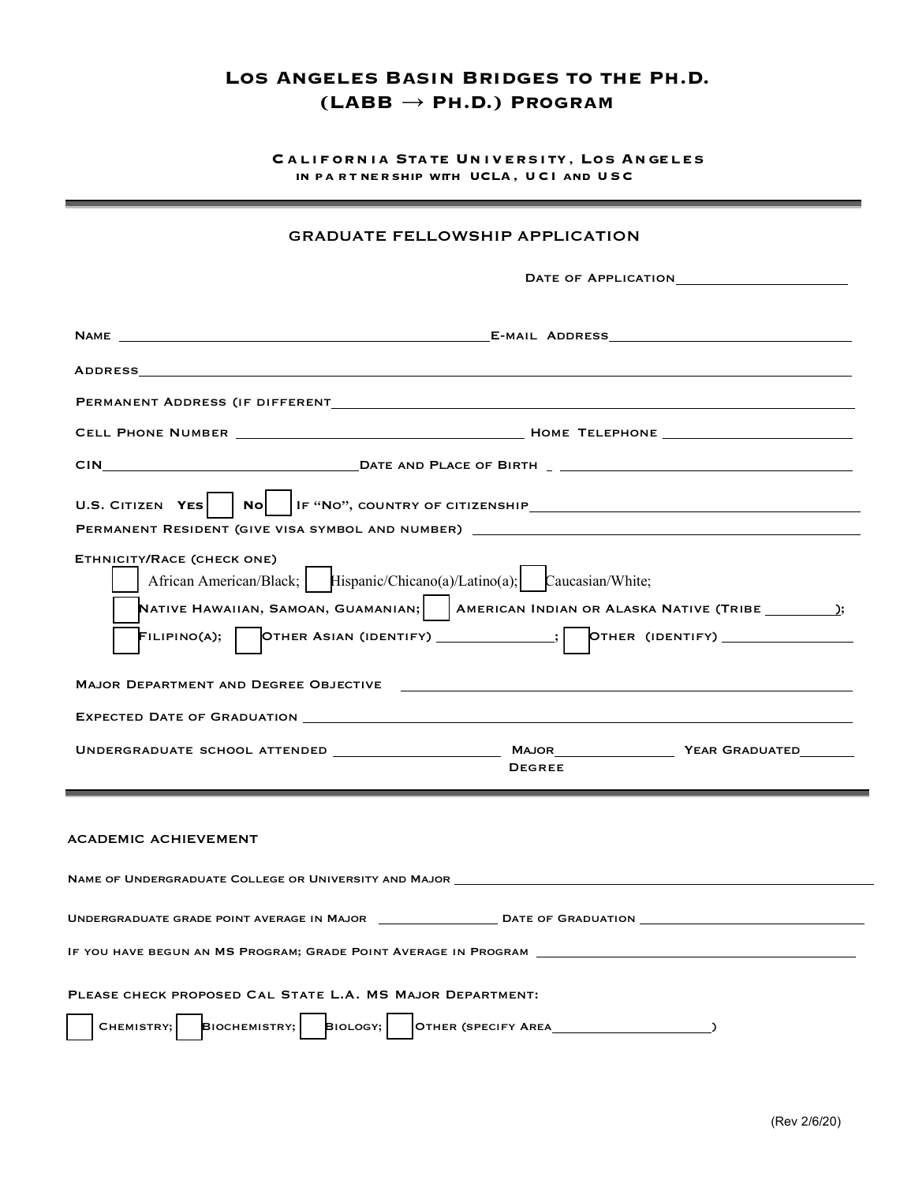## **LOS ANGELES BASIN BRIDGES TO THE PH.D. (LABB** → **PH.D.) PROGRAM**

**CALIFORNIA STATE UNIVERSITY, LOS ANGELES** IN PA RT NER SHIP WITH UCLA, UCI AND USC

## GRADUATE FELLOWSHIP APPLICATION

| PERMANENT ADDRESS (IF DIFFERENT MARIE AND THE SERVICE SERVICE SERVICE SERVICE SERVICE SERVICE SERVICE SERVICE S                                                                                                                                                                                                                                              |                                                                                                                |               |  |  |  |  |
|--------------------------------------------------------------------------------------------------------------------------------------------------------------------------------------------------------------------------------------------------------------------------------------------------------------------------------------------------------------|----------------------------------------------------------------------------------------------------------------|---------------|--|--|--|--|
|                                                                                                                                                                                                                                                                                                                                                              |                                                                                                                |               |  |  |  |  |
|                                                                                                                                                                                                                                                                                                                                                              |                                                                                                                |               |  |  |  |  |
|                                                                                                                                                                                                                                                                                                                                                              |                                                                                                                |               |  |  |  |  |
| ETHNICITY/RACE (CHECK ONE)<br>African American/Black; Hispanic/Chicano(a)/Latino(a); Caucasian/White;<br>NATIVE HAWAIIAN, SAMOAN, GUAMANIAN; $\vert$   AMERICAN INDIAN OR ALASKA NATIVE (TRIBE $\rule{1em}{0.15mm}$ );<br>$\mathsf{Filipino}$ (A); $\begin{bmatrix}$ OTHER ASIAN (IDENTIFY) ____________; $\begin{bmatrix}$ OTHER (IDENTIFY) _______________ |                                                                                                                |               |  |  |  |  |
|                                                                                                                                                                                                                                                                                                                                                              | MAJOR DEPARTMENT AND DEGREE OBJECTIVE THE CONTROL CONTROL CONTROL CONTROL CONTROL CONTROL CONTROL CONTROL CONT |               |  |  |  |  |
|                                                                                                                                                                                                                                                                                                                                                              |                                                                                                                |               |  |  |  |  |
|                                                                                                                                                                                                                                                                                                                                                              |                                                                                                                | <b>DEGREE</b> |  |  |  |  |
| <b>ACADEMIC ACHIEVEMENT</b>                                                                                                                                                                                                                                                                                                                                  |                                                                                                                |               |  |  |  |  |
|                                                                                                                                                                                                                                                                                                                                                              |                                                                                                                |               |  |  |  |  |
|                                                                                                                                                                                                                                                                                                                                                              |                                                                                                                |               |  |  |  |  |
| IF YOU HAVE BEGUN AN MS PROGRAM; GRADE POINT AVERAGE IN PROGRAM                                                                                                                                                                                                                                                                                              |                                                                                                                |               |  |  |  |  |
| PLEASE CHECK PROPOSED CAL STATE L.A. MS MAJOR DEPARTMENT:<br><b>BIOLOGY;</b><br>BIOCHEMISTRY;<br>CHEMISTRY;                                                                                                                                                                                                                                                  |                                                                                                                |               |  |  |  |  |
|                                                                                                                                                                                                                                                                                                                                                              |                                                                                                                |               |  |  |  |  |

<u> 1989 - Johann Stein, markazar fizikar (h. 1989)</u>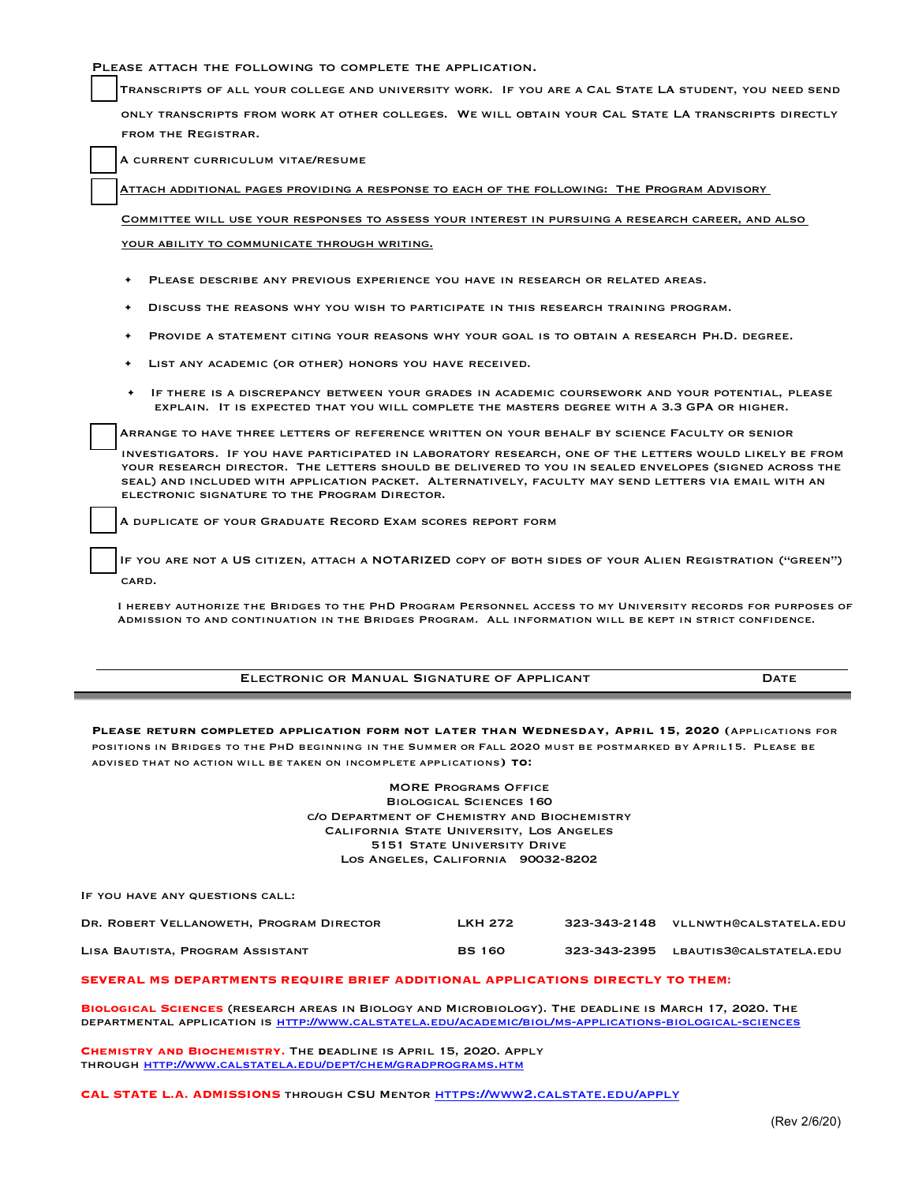PLEASE ATTACH THE FOLLOWING TO COMPLETE THE APPLICATION.

Transcripts of all your college and university work. If you are a Cal State LA student, you need send

only transcripts from work at other colleges. We will obtain your Cal State LA transcripts directly from the Registrar.

A current curriculum vitae/resume

Attach additional pages providing a response to each of the following: The Program Advisory

Committee will use your responses to assess your interest in pursuing a research career, and also YOUR ABILITY TO COMMUNICATE THROUGH WRITING.

- PLEASE DESCRIBE ANY PREVIOUS EXPERIENCE YOU HAVE IN RESEARCH OR RELATED AREAS.
- Discuss the reasons why you wish to participate in this research training program.
- PROVIDE A STATEMENT CITING YOUR REASONS WHY YOUR GOAL IS TO OBTAIN A RESEARCH PH.D. DEGREE.
- LIST ANY ACADEMIC (OR OTHER) HONORS YOU HAVE RECEIVED.
- If there is a discrepancy between your grades in academic coursework and your potential, please explain. It is expected that you will complete the masters degree with a 3.3 GPA or higher.

Arrange to have three letters of reference written on your behalf by science Faculty or senior

investigators. If you have participated in laboratory research, one of the letters would likely be from your research director. The letters should be delivered to you in sealed envelopes (signed across the seal) and included with application packet. Alternatively, faculty may send letters via email with an electronic signature to the Program Director.

A duplicate of your Graduate Record Exam scores report form

 If you are not a US citizen, attach a NOTARIZED copy of both sides of your Alien Registration ("green") card.

I hereby authorize the Bridges to the PhD Program Personnel access to my University records for purposes of Admission to and continuation in the Bridges Program. All information will be kept in strict confidence.

| ELECTRONIC OR MANUAL SIGNATURE OF APPLICANT |  |
|---------------------------------------------|--|
|---------------------------------------------|--|

**Please return completed application form not later than Wednesday, April 15, 2020 (**Applications for positions in Bridges to the PhD beginning in the Summer or Fall 2020 must be postmarked by April15. Please be advised that no action will be taken on incomplete applications**) to:**

> MORE Programs Office Biological Sciences 160 c/o Department of Chemistry and Biochemistry California State University, Los Angeles **5151 STATE UNIVERSITY DRIVE** Los Angeles, California 90032-8202

If you have any questions call:

 $\overline{a}$ 

| DR. ROBERT VELLANOWETH, PROGRAM DIRECTOR | <b>LKH 272</b> | 323-343-2148 VLLNWTH@CALSTATELA.EDU  |
|------------------------------------------|----------------|--------------------------------------|
| LISA BAUTISTA, PROGRAM ASSISTANT         | <b>BS 160</b>  | 323-343-2395 LBAUTIS3@CALSTATELA.EDU |

## **SEVERAL MS DEPARTMENTS REQUIRE BRIEF ADDITIONAL APPLICATIONS DIRECTLY TO THEM:**

BIOLOGICAL SCIENCES (RESEARCH AREAS IN BIOLOGY AND MICROBIOLOGY). THE DEADLINE IS MARCH 17, 2020. THE DEPARTMENTAL<br>DEPARTMENTAL APPLICATION IS HTTP://WWW.CALSTATELA.EDU/ACADEMIC/BIOL/MS-APPLICATIONS-BIOLOGICAL-SCIENCES

**Chemistry and Biochemistry.** The **d**eadline is April 15, 2020. Apply through http://www.calstatela.edu/dept/chem/gradprograms.htm

**CAL STATE L.A. ADMISSIONS** THROUGH CSU MENTOR **HTTPS://WWW2.CALSTATE.EDU/APPLY**